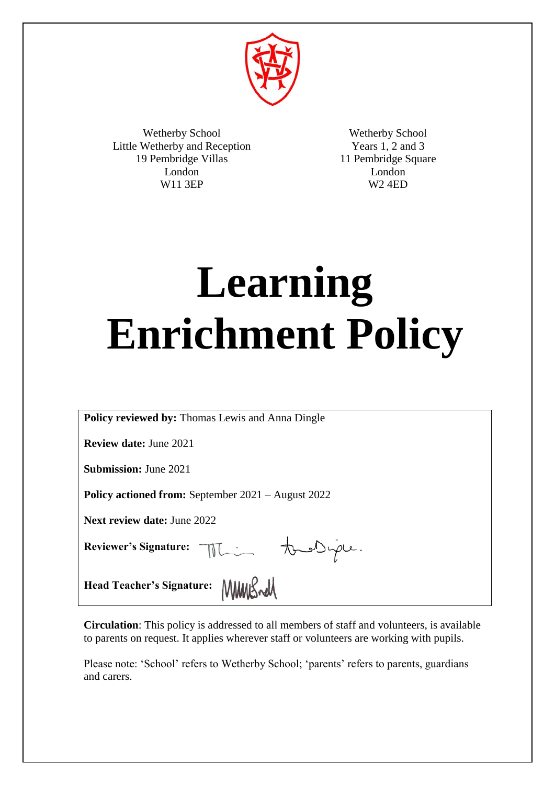

Wetherby School Little Wetherby and Reception 19 Pembridge Villas London W11 3EP

Wetherby School Years 1, 2 and 3 11 Pembridge Square London W2 4ED

# **Learning Enrichment Policy**

**Policy reviewed by:** Thomas Lewis and Anna Dingle

**Review date:** June 2021

**Submission:** June 2021

**Policy actioned from:** September 2021 – August 2022

**Next review date:** June 2022

Reviewer's Signature: The Audrice.

Head Teacher's Signature: MMMS

**Circulation**: This policy is addressed to all members of staff and volunteers, is available to parents on request. It applies wherever staff or volunteers are working with pupils.

Please note: 'School' refers to Wetherby School; 'parents' refers to parents, guardians and carers.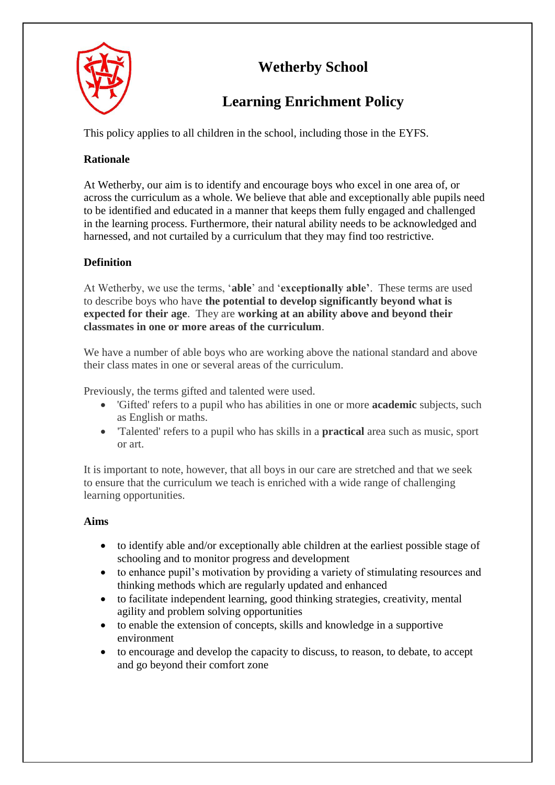

# **Wetherby School**

# **Learning Enrichment Policy**

This policy applies to all children in the school, including those in the EYFS.

# **Rationale**

At Wetherby, our aim is to identify and encourage boys who excel in one area of, or across the curriculum as a whole. We believe that able and exceptionally able pupils need to be identified and educated in a manner that keeps them fully engaged and challenged in the learning process. Furthermore, their natural ability needs to be acknowledged and harnessed, and not curtailed by a curriculum that they may find too restrictive.

# **Definition**

At Wetherby, we use the terms, '**able**' and '**exceptionally able'**. These terms are used to describe boys who have **the potential to develop significantly beyond what is expected for their age**. They are **working at an ability above and beyond their classmates in one or more areas of the curriculum**.

We have a number of able boys who are working above the national standard and above their class mates in one or several areas of the curriculum.

Previously, the terms gifted and talented were used.

- 'Gifted' refers to a pupil who has abilities in one or more **academic** subjects, such as English or maths.
- 'Talented' refers to a pupil who has skills in a **practical** area such as music, sport or art.

It is important to note, however, that all boys in our care are stretched and that we seek to ensure that the curriculum we teach is enriched with a wide range of challenging learning opportunities.

# **Aims**

- to identify able and/or exceptionally able children at the earliest possible stage of schooling and to monitor progress and development
- to enhance pupil's motivation by providing a variety of stimulating resources and thinking methods which are regularly updated and enhanced
- to facilitate independent learning, good thinking strategies, creativity, mental agility and problem solving opportunities
- to enable the extension of concepts, skills and knowledge in a supportive environment
- to encourage and develop the capacity to discuss, to reason, to debate, to accept and go beyond their comfort zone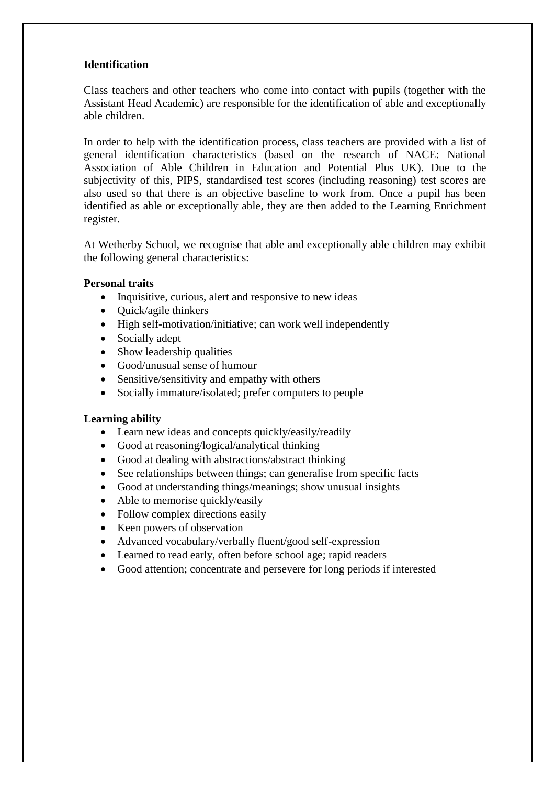#### **Identification**

Class teachers and other teachers who come into contact with pupils (together with the Assistant Head Academic) are responsible for the identification of able and exceptionally able children.

In order to help with the identification process, class teachers are provided with a list of general identification characteristics (based on the research of NACE: National Association of Able Children in Education and Potential Plus UK). Due to the subjectivity of this, PIPS, standardised test scores (including reasoning) test scores are also used so that there is an objective baseline to work from. Once a pupil has been identified as able or exceptionally able, they are then added to the Learning Enrichment register.

At Wetherby School, we recognise that able and exceptionally able children may exhibit the following general characteristics:

#### **Personal traits**

- Inquisitive, curious, alert and responsive to new ideas
- $\bullet$  Ouick/agile thinkers
- High self-motivation/initiative; can work well independently
- Socially adept
- Show leadership qualities
- Good/unusual sense of humour
- Sensitive/sensitivity and empathy with others
- Socially immature/isolated; prefer computers to people

#### **Learning ability**

- Learn new ideas and concepts quickly/easily/readily
- Good at reasoning/logical/analytical thinking
- Good at dealing with abstractions/abstract thinking
- See relationships between things; can generalise from specific facts
- Good at understanding things/meanings; show unusual insights
- Able to memorise quickly/easily
- Follow complex directions easily
- Keen powers of observation
- Advanced vocabulary/verbally fluent/good self-expression
- Learned to read early, often before school age; rapid readers
- Good attention; concentrate and persevere for long periods if interested